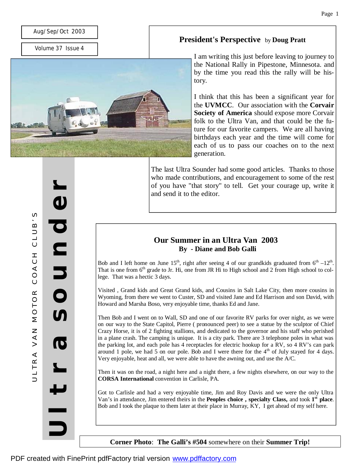### Aug/Sep/Oct 2003

Volume 37 Issue 4

**e**

က<br>တ

**r**



### **President's Perspective** by **Doug Pratt**

I am writing this just before leaving to journey to the National Rally in Pipestone, Minnesota. and by the time you read this the rally will be history.

I think that this has been a significant year for the **UVMCC**. Our association with the **Corvair Society of America** should expose more Corvair folk to the Ultra Van, and that could be the future for our favorite campers. We are all having birthdays each year and the time will come for each of us to pass our coaches on to the next generation.

The last Ultra Sounder had some good articles. Thanks to those who made contributions, and encouragement to some of the rest of you have "that story" to tell. Get your courage up, write it and send it to the editor.

### **Our Summer in an Ultra Van 2003 By - Diane and Bob Galli**

Bob and I left home on June 15<sup>th</sup>, right after seeing 4 of our grandkids graduated from  $6<sup>th</sup> -12<sup>th</sup>$ . That is one from  $6<sup>th</sup>$  grade to Jr. Hi, one from JR Hi to High school and 2 from High school to college. That was a hectic 3 days.

Visited , Grand kids and Great Grand kids, and Cousins in Salt Lake City, then more cousins in Wyoming, from there we went to Custer, SD and visited Jane and Ed Harrison and son David, with Howard and Marsha Boso, very enjoyable time, thanks Ed and Jane.

Then Bob and I went on to Wall, SD and one of our favorite RV parks for over night, as we were on our way to the State Capitol, Pierre ( pronounced peer) to see a statue by the sculptor of Chief Crazy Horse, it is of 2 fighting stallions, and dedicated to the governor and his staff who perished in a plane crash. The camping is unique. It is a city park. There are 3 telephone poles in what was the parking lot, and each pole has 4 receptacles for electric hookup for a RV, so 4 RV's can park around 1 pole, we had 5 on our pole. Bob and I were there for the  $4<sup>th</sup>$  of July stayed for 4 days. Very enjoyable, heat and all, we were able to have the awning out, and use the A/C.

Then it was on the road, a night here and a night there, a few nights elsewhere, on our way to the **CORSA International** convention in Carlisle, PA.

Got to Carlisle and had a very enjoyable time, Jim and Roy Davis and we were the only Ultra Van's in attendance, Jim entered theirs in the **Peoples choice , specialty Class,** and took **1 st place**. Bob and I took the plaque to them later at their place in Murray, KY, I get ahead of my self here.

**U**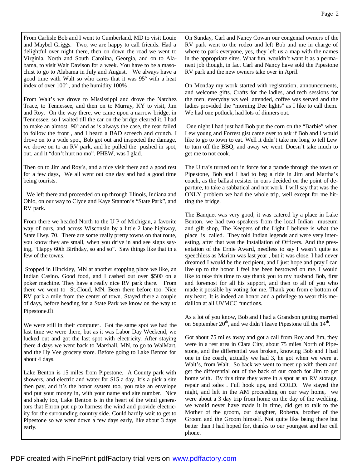From Carlisle Bob and I went to Cumberland, MD to visit Louie and Maybel Griggs. Two, we are happy to call friends. Had a delightful over night there, then on down the road we went to Virginia, North and South Carolina, Georgia, and on to Alabama, to visit Walt Davison for a week. You have to be a masochist to go to Alabama in July and August. We always have a good time with Walt so who cares that it was 95º with a heat index of over 100º , and the humidity 100% .

From Walt's we drove to Mississippi and drove the Natchez Trace, to Tennessee, and then on to Murray, KY to visit, Jim and Roy. On the way there, we came upon a narrow bridge, in Tennessee, so I waited till the car on the bridge cleared it, I had to make an almost 90º and as is always the case, the rear failed to follow the front , and I heard a BAD screech and crunch. I drove on to a wide spot, Bob got out and inspected the damage, we drove on to an RV park, and he pulled the pushed in spot, out, and it "don't hurt no mo". PHEW, was I glad.

Then on to Jim and Roy's, and a nice visit there and a good rest for a few days, We all went out one day and had a good time being tourists.

 We left there and proceeded on up through Illinois, Indiana and Ohio, on our way to Clyde and Kaye Stanton's "State Park", and RV park.

From there we headed North to the U P of Michigan, a favorite way of ours, and across Wisconsin by a little 2 lane highway, State Hwy. 70. There are some really pretty towns on that route, you know they are small, when you drive in and see signs saying, "Happy 60th Birthday, so and so". Saw things like that in a few of the towns.

Stopped in Hinckley, MN at another stopping place we like, an Indian Casino. Good food, and I cashed out over \$500 on a poker machine. They have a really nice RV park there. From there we went to St.Cloud, MN. Been there before too. Nice RV park a mile from the center of town. Stayed there a couple of days, before heading for a State Park we know on the way to Pipestone.th

We were still in their computer. Got the same spot we had the last time we were there, but as it was Labor Day Weekend, we lucked out and got the last spot with electricity. After staying there 4 days we went back to Marshall, MN, to go to WalMart, and the Hy Vee grocery store. Before going to Lake Benton for about 4 days.

Lake Benton is 15 miles from Pipestone. A County park with showers, and electric and water for \$15 a day. It's a pick a site then pay, and it's the honor system too, you take an envelope and put your money in, with your name and site number. Nice and shady too, Lake Benton is in the heart of the wind generators that Enron put up to harness the wind and provide electricity for the surrounding country side. Could hardly wait to get to Pipestone so we went down a few days early, like about 3 days early.

On Sunday, Carl and Nancy Cowan our congenial owners of the RV park went to the rodeo and left Bob and me in charge of where to park everyone, yes, they left us a map with the names in the appropriate sites. What fun, wouldn't want it as a permanent job though, in fact Carl and Nancy have sold the Pipestone RV park and the new owners take over in April.

On Monday my work started with registration, announcements, and welcome gifts. Crafts for the ladies, and tech sessions for the men, everyday ws well attended, coffee was served and the ladies provided the "morning Dee lights" as I like to call them. We had one potluck, had lots of dinners out.

One night I had just had Bob put the corn on the "Barbie" when Lew young and Forrest gist came over to ask if Bob and I would like to go to town to eat. Well it didn't take me long to tell Lew to turn off the BBQ, and away we went. Doesn't take much to get me to not cook.

The Ultra's turned out in force for a parade through the town of Pipestone, Bob and I had to beg a ride in Jim and Martha's coach, as the ballast resister in ours decided on the point of departure, to take a sabbatical and not work. I will say that was the ONLY problem we had the whole trip, well except for me hitting the bridge.

The Banquet was very good, it was catered by a place in Lake Benton, we had two speakers from the local Indian museum and gift shop, The Keepers of the Light I believe is what the place is called. They told Indian legends and were very interesting, after that was the Installation of Officers. And the presentation of the Ernie Award, needless to say I wasn't quite as speechless as Marion was last year , but it was close. I had never dreamed I would be the recipient, and I just hope and pray I can live up to the honor I feel has been bestowed on me. I would like to take this time to say thank you to my husband Bob, first and foremost for all his support, and then to all of you who made it possible by voting for me. Thank you from e bottom of my heart. It is indeed an honor and a privilege to wear this medallion at all UVMCC functions.

As a lot of you know, Bob and I had a Grandson getting married on September  $20<sup>th</sup>$ , and we didn't leave Pipestone till the  $14<sup>th</sup>$ .

Got about 75 miles away and got a call from Roy and Jim, they were in a rest area in Clara City, about 75 miles North of Pipestone, and the differential was broken, knowing Bob and I had one in the coach, actually we had 3, he got when we were at Walt's, from Walt. So back we went to meet up with them and get the differential out of the back of our coach for Jim to get home with. By this time they were in a spot at an RV storage, repair and sales . Full hook ups, and COLD. We stayed the night, and left in the AM proceeding on our way home, we were about a 3 day trip from home on the day of the wedding, we would never have made it in time, did get to talk to the Mother of the groom, our daughter, Roberta, brother of the Groom and the Groom himself. Not quite like being there but better than I had hoped for, thanks to our youngest and her cell phone.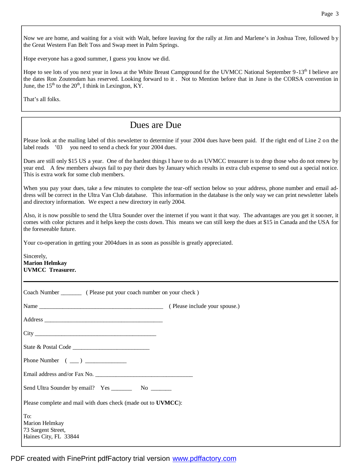Now we are home, and waiting for a visit with Walt, before leaving for the rally at Jim and Marlene's in Joshua Tree, followed b y the Great Western Fan Belt Toss and Swap meet in Palm Springs.

Hope everyone has a good summer, I guess you know we did.

Hope to see lots of you next year in Iowa at the White Breast Campground for the UVMCC National September 9-13<sup>th</sup> I believe are the dates Ron Zoutendam has reserved. Looking forward to it . Not to Mention before that in June is the CORSA convention in June, the  $15<sup>th</sup>$  to the  $20<sup>th</sup>$ , I think in Lexington, KY.

That's all folks.

## Dues are Due

Please look at the mailing label of this newsletter to determine if your 2004 dues have been paid. If the right end of Line 2 on the label reads '03 you need to send a check for your 2004 dues.

Dues are still only \$15 US a year. One of the hardest things I have to do as UVMCC treasurer is to drop those who do not renew by year end. A few members always fail to pay their dues by January which results in extra club expense to send out a special notice. This is extra work for some club members.

When you pay your dues, take a few minutes to complete the tear-off section below so your address, phone number and email address will be correct in the Ultra Van Club database. This information in the database is the only way we can print newsletter labels and directory information. We expect a new directory in early 2004.

Also, it is now possible to send the Ultra Sounder over the internet if you want it that way. The advantages are you get it sooner, it comes with color pictures and it helps keep the costs down. This means we can still keep the dues at \$15 in Canada and the USA for the foreseeable future.

Your co-operation in getting your 2004dues in as soon as possible is greatly appreciated.

| Sincerely,<br><b>Marion Helmkay</b><br><b>UVMCC</b> Treasurer.       |  |  |
|----------------------------------------------------------------------|--|--|
|                                                                      |  |  |
|                                                                      |  |  |
|                                                                      |  |  |
|                                                                      |  |  |
|                                                                      |  |  |
|                                                                      |  |  |
|                                                                      |  |  |
|                                                                      |  |  |
| Please complete and mail with dues check (made out to UVMCC):        |  |  |
| To:<br>Marion Helmkay<br>73 Sargent Street,<br>Haines City, FL 33844 |  |  |

PDF created with FinePrint pdfFactory trial version [www.pdffactory.com](http://www.pdffactory.com)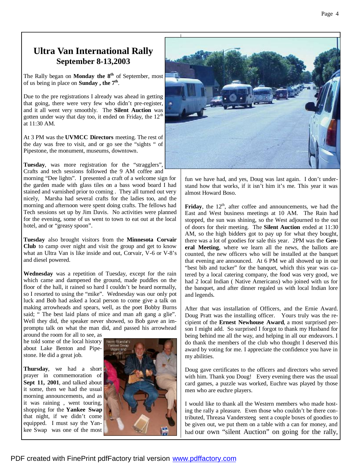## **Ultra Van International Rally September 8-13,2003**

The Rally began on **Monday the 8th** of September, most of us being in place on **Sunday , the 7th** .

Due to the pre registrations I already was ahead in getting that going, there were very few who didn't pre-register, and it all went very smoothly. The **Silent Auction** was gotten under way that day too, it ended on Friday, the  $12<sup>th</sup>$ at 11:30 AM.

At 3 PM was the **UVMCC Directors** meeting. The rest of the day was free to visit, and or go see the "sights " of Pipestone, the monument, museums, downtown.

**Tuesday**, was more registration for the "stragglers", Crafts and tech sessions followed the 9 AM coffee and morning "Dee lights". I presented a craft of a welcome sign for the garden made with glass tiles on a bass wood board I had stained and varnished prior to coming . They all turned out very nicely, Marsha had several crafts for the ladies too, and the morning and afternoon were spent doing crafts. The fellows had Tech sessions set up by Jim Davis. No activities were planned for the evening, some of us went to town to eat out at the local hotel, and or "greasy spoon".

**Tuesday** also brought visitors from the **Minnesota Corvair Club** to camp over night and visit the group and get to know what an Ultra Van is like inside and out, Corvair, V-6 or V-8's and diesel powered.

**Wednesday** was a repetition of Tuesday, except for the rain which came and dampened the ground, made puddles on the floor of the hall, it rained so hard I couldn't be heard normally, so I resorted to using the "mike". Wednesday was our only pot luck and Bob had asked a local person to come give a talk on making arrowheads and spears, well, as the poet Bobby Burns said; " The best laid plans of mice and man aft gang a glie". Well they did, the speaker never showed, so Bob gave an impromptu talk on what the man did, and passed his arrowhead

around the room for all to see, as he told some of the local history about Lake Benton and Pipestone. He did a great job.

**Thursday**, we had a short prayer in commemoration of **Sept 11, 2001**, and talked about it some, then we had the usual morning announcements, and as it was raining , went touring, shopping for the **Yankee Swap**  that night, if we didn't come equipped. I must say the Yankee Swap was one of the most





fun we have had, and yes, Doug was last again. I don't understand how that works, if it isn't him it's me. This year it was almost Howard Boso.

Friday, the 12<sup>th</sup>, after coffee and announcements, we had the East and West business meetings at 10 AM. The Rain had stopped, the sun was shining, so the West adjourned to the out of doors for their meeting. The **Silent Auction** ended at 11:30 AM, so the high bidders got to pay up for what they bought, there was a lot of goodies for sale this year. 2PM was the **General Meeting**, where we learn all the news, the ballots are counted, the new officers who will be installed at the banquet that evening are announced. At 6 PM we all showed up in our "best bib and tucker" for the banquet, which this year was catered by a local catering company, the food was very good, we had 2 local Indian ( Native Americans) who joined with us for the banquet, and after dinner regaled us with local Indian lore and legends.

After that was installation of Officers, and the Ernie Award. Doug Pratt was the installing officer. Yours truly was the recipient of the **Ernest Newhouse Award**, a most surprised person I might add. So surprised I forgot to thank my Husband for being behind me all the way, and helping in all our endeavors. I do thank the members of the club who thought I deserved this award by voting for me. I appreciate the confidence you have in my abilities.

Doug gave certificates to the officers and directors who served with him. Thank you Doug! Every evening there was the usual card games, a puzzle was worked, Euchre was played by those men who are euchre players.

I would like to thank all the Western members who made hosting the rally a pleasure. Even those who couldn't be there contributed, Threasa Vandersteeg sent a couple boxes of goodies to be given out, we put them on a table with a can for money, and had our own "silent Auction" on going for the rally,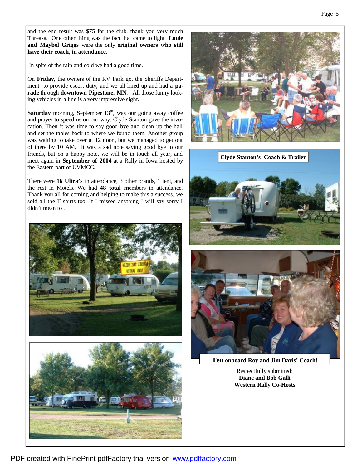and the end result was \$75 for the club, thank you very much Threasa. One other thing was the fact that came to light **Louie and Maybel Griggs** were the only **original owners who still have their coach, in attendance.** 

In spite of the rain and cold we had a good time.

On **Friday**, the owners of the RV Park got the Sheriffs Department to provide escort duty, and we all lined up and had a **parade** through **downtown Pipestone, MN**. All those funny looking vehicles in a line is a very impressive sight.

Saturday morning, September 13<sup>th</sup>, was our going away coffee and prayer to speed us on our way. Clyde Stanton gave the invocation. Then it was time to say good bye and clean up the hall and set the tables back to where we found them. Another group was waiting to take over at 12 noon, but we managed to get out of there by 10 AM. It was a sad note saying good bye to our friends, but on a happy note, we will be in touch all year, and meet again in **September of 2004** at a Rally in Iowa hosted by the Eastern part of UVMCC.

There were **16 Ultra's** in attendance, 3 other brands, 1 tent, and the rest in Motels. We had **48 total m**embers in attendance. Thank you all for coming and helping to make this a success, we sold all the T shirts too. If I missed anything I will say sorry I didn't mean to .











**Ten onboard Roy and Jim Davis' Coach!**

Respectfully submitted: **Diane and Bob Galli Western Rally Co-Hosts**

PDF created with FinePrint pdfFactory trial version [www.pdffactory.com](http://www.pdffactory.com)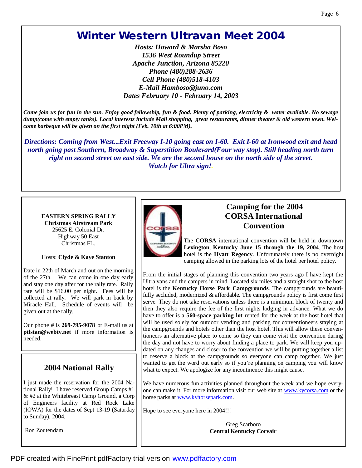# **Winter Western Ultravan Meet 2004**

*Hosts: Howard & Marsha Boso 1536 West Roundup Street Apache Junction, Arizona 85220 Phone (480)288-2636 Cell Phone (480)518-4103 E-Mail Hamboso@juno.com Dates February 10 - February 14, 2003*

Come join us for fun in the sun. Enjoy good fellowship, fun & food. Plenty of parking, electricity & water available. No sewage dump(come with empty tanks). Local interests include Mall shopping, great restaurants, dinner theater & old western town. Wel*come barbeque will be given on the first night (Feb. 10th at 6:00PM).*

*Directions: Coming from West...Exit Freeway I-10 going east on I-60. Exit I-60 at Ironwood exit and head north going past Southern, Broadway & Superstition Boulevard(Four way stop). Still heading north turn*  right on second street on east side. We are the second house on the north side of the street. *Watch for Ultra sign!.* 

### **EASTERN SPRING RALLY Christmas Airstream Park** 25625 E. Colonial Dr. Highway 50 East Christmas FL.

### Hosts: **Clyde & Kaye Stanton**

Date in 22th of March and out on the morning of the 27th. We can come in one day early and stay one day after for the rally rate. Rally rate will be \$16.00 per night. Fees will be collected at rally. We will park in back by Miracle Hall. Schedule of events will be given out at the rally.

Our phone # is **269-795-9078** or E-mail us at **ptlstan@webtv.net** if more information is needed.

## **2004 National Rally**

I just made the reservation for the 2004 National Rally! I have reserved Group Camps #1 & #2 at the Whitebreast Camp Ground, a Corp of Engineers facility at Red Rock Lake (IOWA) for the dates of Sept 13-19 (Saturday to Sunday), 2004.

Ron Zoutendam



## **Camping for the 2004 CORSA International Convention**

The **CORSA** international convention will be held in downtown **Lexington**, **Kentucky June 15 through the 19, 2004**. The host hotel is the **Hyatt Regency**. Unfortunately there is no overnight camping allowed in the parking lots of the hotel per hotel policy.

From the initial stages of planning this convention two years ago I have kept the Ultra vans and the campers in mind. Located six miles and a straight shot to the host hotel is the **Kentucky Horse Park Campgrounds**. The campgrounds are beautifully secluded, modernized & affordable. The campgrounds policy is first come first serve. They do not take reservations unless there is a minimum block of twenty and then they also require the fee of the first nights lodging in advance. What we do have to offer is a **560-space parking lot** rented for the week at the host hotel that will be used solely for outdoor vending and parking for conventioneers staying at the campgrounds and hotels other than the host hotel. This will allow these conventioneers an alternative place to come so they can come visit the convention during the day and not have to worry about finding a place to park. We will keep you updated on any changes and closer to the convention we will be putting together a list to reserve a block at the campgrounds so everyone can camp together. We just wanted to get the word out early so if you're planning on camping you will know what to expect. We apologize for any incontinence this might cause.

We have numerous fun activities planned throughout the week and we hope everyone can make it. For more information visit our web site at www.kycorsa.com or the horse parks at www.kyhorsepark.com.

Hope to see everyone here in 2004!!!

Greg Scarboro **Central Kentucky Corvair**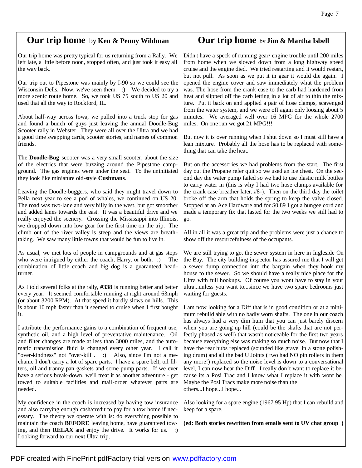## **Our trip home** by **Ken & Penny Wildman**

Our trip home was pretty typical for us returning from a Rally. We left late, a little before noon, stopped often, and just took it easy all the way back.

Our trip out to Pipestone was mainly by I-90 so we could see the Wisconsin Dells. Now, we've seen them. : We decided to try a more scenic route home. So, we took US 75 south to US 20 and used that all the way to Rockford, IL.

About half-way across Iowa, we pulled into a truck stop for gas and found a bunch of guys just leaving the annual Doodle-Bug Scooter rally in Webster. They were all over the Ultra and we had a good time swapping cards, scooter stories, and names of common friends.

The **Doodle-Bug** scooter was a very small scooter, about the size of the electrics that were buzzing around the Pipestone campground. The gas engines were under the seat. To the uninitiated they look like miniature old-style **Cushmans**.

Leaving the Doodle-buggers, who said they might travel down to Pella next year to see a pod of whales, we continued on US 20. The road was two-lane and very hilly in the west, but got smoother and added lanes towards the east. It was a beautiful drive and we really enjoyed the scenery. Crossing the Mississippi into Illinois, we dropped down into low gear for the first time on the trip. The climb out of the river valley is steep and the views are breath taking. We saw many little towns that would be fun to live in.

As usual, we met lots of people in campgrounds and at gas stops who were intrigued by either the coach, Harry, or both. :) The combination of little coach and big dog is a guaranteed headturner.

As I told several folks at the rally, **#338** is running better and better every year. It seemed comfortable running at right around 63mph (or about 3200 RPM). At that speed it hardly slows on hills. This is about 10 mph faster than it seemed to cruise when I first bought it.

I attribute the performance gains to a combination of frequent use, synthetic oil, and a high level of preventative maintenance. Oil and filter changes are made at less than 3000 miles, and the automatic transmission fluid is changed every other year. I call it "over-kindness" not "over-kill". :) Also, since I'm not a mechanic I don't carry a lot of spare parts. I have a spare belt, oil filters, oil and tranny pan gaskets and some pump parts. If we ever have a serious break-down, we'll treat it as another adventure - get towed to suitable facilities and mail-order whatever parts are needed.

My confidence in the coach is increased by having tow insurance and also carrying enough cash/credit to pay for a tow home if necessary. The theory we operate with is: do everything possible to maintain the coach **BEFORE** leaving home, have guaranteed towing, and then **RELAX** and enjoy the drive. It works for us. :) Looking forward to our next Ultra trip,

### **Our trip home** by **Jim & Martha Isbell**

Didn't have a speck of running gear/ engine trouble until 200 miles from home when we slowed down from a long highway speed cruise and the engine died. We tried restarting and it would restart, but not pull. As soon as we put it in gear it would die again. I opened the engine cover and saw immediately what the problem was. The hose from the crank case to the carb had hardened from heat and slipped off the carb letting in a lot of air to thin the mixture. Put it back on and applied a pair of hose clamps, scavenged from the water system, and we were off again only loosing about 5 minutes. We averaged well over 16 MPG for the whole 2700 miles. On one run we got 21 MPG!!!

But now it is over running when I shut down so I must still have a lean mixture. Probably all the hose has to be replaced with something that can take the heat.

But on the accessories we had problems from the start. The first day out the Propane refer quit so we used an ice chest. On the second day the water pump failed so we had to use plastic milk bottles to carry water in (this is why I had two hose clamps available for the crank case breather later..#8-). Then on the third day the toilet broke off the arm that holds the spring to keep the valve closed. Stopped at an Ace Hardware and for \$0.89 I got a bungee cord and made a temporary fix that lasted for the two weeks we still had to go.

All in all it was a great trip and the problems were just a chance to show off the resourcefulness of the occupants.

We are still trying to get the sewer system in here in Ingleside On the Bay. The city building inspector has assured me that I will get a sewer dump connection into the bargain when they hook my house to the sewer. So we should have a really nice place for the Ultra with full hookups. Of course you wont have to stay in your ultra...unless you want to...since we have two spare bedrooms just waiting for guests.

I am now looking for a Diff that is in good condition or at a minimum rebuild able with no badly worn shafts. The one in our coach has always had a very dim hum that you can just barely discern when you are going up hill (could be the shafts that are not perfectly phased as well) that wasn't noticeable for the first two years because everything else was making so much noise. But now that I have the rear hubs replaced (sounded like gravel in a stone polishing drum) and all the bad U Joints ( two had NO pin rollers in them any more!) replaced so the noise level is down to a conversational level, I can now hear the Diff. I really don't want to replace it because its a Posi Trac and I know what I replace it with wont be. Maybe the Posi Tracs make more noise than the others...I hope...I hope...

Also looking for a spare engine (1967 95 Hp) that I can rebuild and keep for a spare.

**(ed: Both stories rewritten from emails sent to UV chat group )**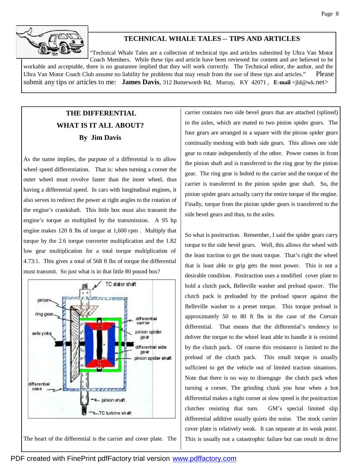

### **TECHNICAL WHALE TALES** -- **TIPS AND ARTICLES**

"Technical Whale Tales are a collection of technical tips and articles submitted by Ultra Van Motor Coach Members. While these tips and article have been reviewed for content and are believed to be workable and acceptable, there is no guarantee implied that they will work correctly. The Technical editor, the author, and the Ultra Van Motor Coach Club assume no liability for problems that may result from the use of these tips and articles." Please submit any tips or articles to me: **James Davis**, 312 Butterworth Rd, Murray, KY 42071 , **E-mail** <jld@wk.net>

## **THE DIFFERENTIAL WHAT IS IT ALL ABOUT? By Jim Davis**

As the name implies, the purpose of a differential is to allow wheel speed differentiation. That is: when turning a corner the outer wheel must revolve faster than the inner wheel, thus having a differential speed. In cars with longitudinal engines, it also serves to redirect the power at right angles to the rotation of the engine's crankshaft. This little box must also transmit the engine's torque as multiplied by the transmission. A 95 hp engine makes 120 ft lbs of torque at 1,600 rpm . Multiply that torque by the 2.6 torque converter multiplication and the 1.82 low gear multiplication for a total torque multiplication of 4.73:1. This gives a total of 568 ft lbs of torque the differential must transmit. So just what is in that little 80 pound box?



carrier contains two side bevel gears that are attached (splined) to the axles, which are mated to two pinion spider gears. The four gears are arranged in a square with the pinion spider gears continually meshing with both side gears. This allows one side gear to rotate independently of the other. Power comes in from the pinion shaft and is transferred to the ring gear by the pinion gear. The ring gear is bolted to the carrier and the torque of the carrier is transferred to the pinion spider gear shaft. So, the pinion spider gears actually carry the entire torque of the engine. Finally, torque from the pinion spider gears is transferred to the side bevel gears and thus, to the axles.

So what is positraction. Remember, I said the spider gears carry torque to the side bevel gears. Well, this allows the wheel with the least traction to get the most torque. That's right the wheel that is least able to grip gets the most power. This is not a desirable condition. Positraction uses a modified cover plate to hold a clutch pack, Belleville washer and preload spacer. The clutch pack is preloaded by the preload spacer against the Belleville washer to a preset torque. This torque preload is approximately 50 to 80 ft lbs in the case of the Corvair differential. That means that the differential's tendency to deliver the torque to the wheel least able to handle it is resisted by the clutch pack. Of course this resistance is limited to the preload of the clutch pack. This small torque is usually sufficient to get the vehicle out of limited traction situations. Note that there is no way to disengage the clutch pack when turning a corner. The grinding clunk you hear when a hot differential makes a tight corner at slow speed is the positraction clutches resisting that turn. GM's special limited slip differential additive usually quiets the noise. The stock carrier cover plate is relatively weak. It can separate at its weak point. This is usually not a catastrophic failure but can result in drive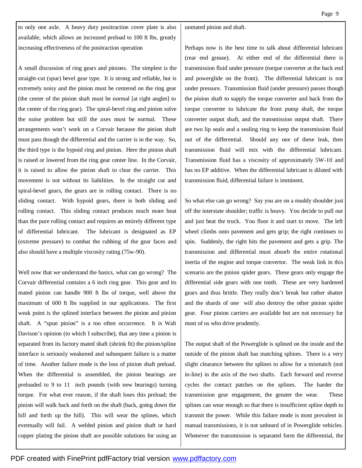to only one axle. A heavy duty positraction cover plate is also available, which allows an increased preload to 100 ft lbs, greatly increasing effectiveness of the positraction operation

A small discussion of ring gears and pinions. The simplest is the straight-cut (spur) bevel gear type. It is strong and reliable, but is extremely noisy and the pinion must be centered on the ring gear (the center of the pinion shaft must be normal [at right angles] to the center of the ring gear). The spiral-bevel ring and pinion solve the noise problem but still the axes must be normal. These arrangements won't work on a Corvair because the pinion shaft must pass though the differential and the carrier is in the way. So, the third type is the hypoid ring and pinion. Here the pinion shaft is raised or lowered from the ring gear center line. In the Corvair, it is raised to allow the pinion shaft to clear the carrier. This movement is not without its liabilities. In the straight cut and spiral-bevel gears, the gears are in rolling contact. There is no sliding contact. With hypoid gears, there is both sliding and rolling contact. This sliding contact produces much more heat than the pure rolling contact and requires an entirely different type of differential lubricant. The lubricant is designated as EP (extreme pressure) to combat the rubbing of the gear faces and also should have a multiple viscosity rating (75w-90).

Well now that we understand the basics, what can go wrong? The Corvair differential contains a 6 inch ring gear. This gear and its mated pinion can handle 900 ft lbs of torque, well above the maximum of 600 ft lbs supplied in our applications. The first weak point is the splined interface between the pinion and pinion shaft. A "spun pinion" is a too often occurrence. It is Walt Davison's opinion (to which I subscribe), that any time a pinion is separated from its factory mated shaft (shrink fit) the pinion/spline interface is seriously weakened and subsequent failure is a matter of time. Another failure mode is the loss of pinion shaft preload. When the differential is assembled, the pinion bearings are preloaded to 9 to 11 inch pounds (with new bearings) turning torque. For what ever reason, if the shaft loses this preload; the pinion will walk back and forth on the shaft (back, going down the hill and forth up the hill). This will wear the splines, which eventually will fail. A welded pinion and pinion shaft or hard copper plating the pinion shaft are possible solutions for using an unmated pinion and shaft.

Perhaps now is the best time to talk about differential lubricant (rear end grease). At either end of the differential there is transmission fluid under pressure (torque converter at the back end and powerglide on the front). The differential lubricant is not under pressure. Transmission fluid (under pressure) passes though the pinion shaft to supply the torque converter and back from the torque converter to lubricate the front pump shaft, the torque converter output shaft, and the transmission output shaft. There are two lip seals and a sealing ring to keep the transmission fluid out of the differential. Should any one of these leak, then transmission fluid will mix with the differential lubricant. Transmission fluid has a viscosity of approximately 5W-10 and has no EP additive. When the differential lubricant is diluted with transmission fluid, differential failure is imminent.

So what else can go wrong? Say you are on a muddy shoulder just off the interstate shoulder; traffic is heavy. You decide to pull out and just beat the truck. You floor it and start to move. The left wheel climbs onto pavement and gets grip; the right continues to spin. Suddenly, the right hits the pavement and gets a grip. The transmission and differential must absorb the entire rotational inertia of the engine and torque convertor. The weak link in this scenario are the pinion spider gears. These gears only engage the differential side gears with one tooth. These are very hardened gears and thus brittle. They really don't break but rather shatter and the shards of one will also destroy the other pinion spider gear. Four pinion carriers are available but are not necessary for most of us who drive prudently.

The output shaft of the Powerglide is splined on the inside and the outside of the pinion shaft has matching splines. There is a very slight clearance between the splines to allow for a mismatch (not in-line) in the axis of the two shafts. Each forward and reverse cycles the contact patches on the splines. The harder the transmission gear engagement, the greater the wear. These splines can wear enough so that there is insufficient spline depth to transmit the power. While this failure mode is most prevalent in manual transmissions, it is not unheard of in Powerglide vehicles. Whenever the transmission is separated form the differential, the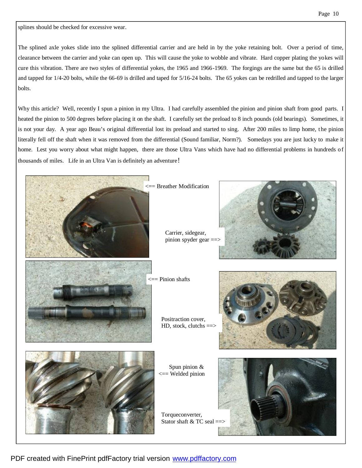splines should be checked for excessive wear.

The splined axle yokes slide into the splined differential carrier and are held in by the yoke retaining bolt. Over a period of time, clearance between the carrier and yoke can open up. This will cause the yoke to wobble and vibrate. Hard copper plating the yokes will cure this vibration. There are two styles of differential yokes, the 1965 and 1966-1969. The forgings are the same but the 65 is drilled and tapped for 1/4-20 bolts, while the 66-69 is drilled and taped for 5/16-24 bolts. The 65 yokes can be redrilled and tapped to the larger bolts.

Why this article? Well, recently I spun a pinion in my Ultra. I had carefully assembled the pinion and pinion shaft from good parts. I heated the pinion to 500 degrees before placing it on the shaft. I carefully set the preload to 8 inch pounds (old bearings). Sometimes, it is not your day. A year ago Beau's original differential lost its preload and started to sing. After 200 miles to limp home, the pinion literally fell off the shaft when it was removed from the differential (Sound familiar, Norm?). Somedays you are just lucky to make it home. Lest you worry about what might happen, there are those Ultra Vans which have had no differential problems in hundreds of thousands of miles. Life in an Ultra Van is definitely an adventure!



<== Breather Modification





Positraction cover, HD, stock, clutchs  $=$ 





Torqueconverter, Stator shaft  $&TC$  seal  $=$ 

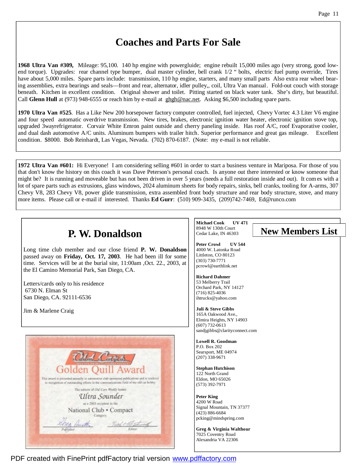# **Coaches and Parts For Sale**

**1968 Ultra Van #309,** Mileage: 95,100. 140 hp engine with powergluide; engine rebuilt 15,000 miles ago (very strong, good lowend torque). Upgrades: rear channel type bumper, dual master cylinder, bell crank 1/2 " bolts, electric fuel pump override, Tires have about 5,000 miles. Spare parts include: transmission, 110 hp engine, starters, and many small parts Also extra rear wheel bearing assemblies, extra bearings and seals—front and rear, alternator, idler pulley,, coil, Ultra Van manual. Fold-out couch with storage beneath. Kitchen in excellent condition. Original shower and toilet. Pitting started on black water tank. She's dirty, but beautiful. Call **Glenn Hull** at (973) 948-6555 or reach him by e-mail at ghgh@nac.net. Asking \$6,500 including spare parts.

**1970 Ultra Van #525**. Has a Like New 200 horsepower factory computer controlled, fuel injected, Chevy Vortec 4.3 Liter V6 engine and four speed automatic overdrive transmission. New tires, brakes, electronic ignition water heater, electronic ignition stove top, upgraded 3wayrefrigerator. Corvair White Emron paint outside and cherry paneling inside. Has roof A/C, roof Evaporative cooler, and dual dash automotive A/C units. Aluminum bumpers with trailer hitch. Superior performance and great gas mileage. Excellent condition. \$8000. Bob Reinhardt, Las Vegas, Nevada. (702) 870-6187. (Note: my e-mail is not reliable.

**1972 Ultra Van #601:** Hi Everyone! I am considering selling #601 in order to start a business venture in Mariposa. For those of you that don't know the history on this coach it was Dave Peterson's personal coach. Is anyone out there interested or know someone that might be? It is running and moveable but has not been driven in over 5 years (needs a full restoration inside and out). It comes with a lot of spare parts such as extrusions, glass windows, 2024 aluminum sheets for body repairs, sinks, bell cranks, tooling for A-arms, 307 Chevy V8, 283 Chevy V8, power glide transmission, extra assembled front body structure and rear body structure, stove, and many more items. Please call or e-mail if interested. Thanks **Ed Gurr**: (510) 909-3435, (209)742-7469, Ed@runco.com

| P. W. Donaldson<br>Long time club member and our close friend P. W. Donaldson<br>passed away on Friday, Oct. 17, 2003. He had been ill for some<br>time. Services will be at the burial site, 11:00am , Oct. 22., 2003, at<br>the El Camino Memorial Park, San Diego, CA. | <b>Michael Cook</b><br><b>UV 471</b><br>8948 W 130th Court<br><b>New Members List</b><br>Cedar Lake, IN 46303<br><b>Peter Crowl</b><br><b>UV 544</b><br>4000 W. Latonka Road<br>Littleton, CO 80123<br>$(303) 730 - 7771$<br>pcrowl@earthlink.net |
|---------------------------------------------------------------------------------------------------------------------------------------------------------------------------------------------------------------------------------------------------------------------------|---------------------------------------------------------------------------------------------------------------------------------------------------------------------------------------------------------------------------------------------------|
| Letters/cards only to his residence<br>6730 N. Elman St<br>San Diego, CA. 92111-6536                                                                                                                                                                                      | <b>Richard Dahmer</b><br>53 Melberry Trail<br>Orchard Park, NY 14127<br>$(716)$ 825-4036<br>ihtrucks@yahoo.com                                                                                                                                    |
| Jim & Marlene Craig                                                                                                                                                                                                                                                       | Juli & Steve Gibbs<br>165A Oakwood Ave.,<br>Elmira Heights, NY 14903<br>$(607)$ 732-0613<br>sandjgibbs@clarityconnect.com                                                                                                                         |
|                                                                                                                                                                                                                                                                           | Lowell R. Goodman<br>P.O. Box 202<br>Searsport, ME 04974<br>$(207)$ 338-9671                                                                                                                                                                      |
| Golden<br>This award is presented annually to automotive club sponsored publications and is tendered<br>in receptition of outstanding efforts in the communications field of the old car hobby.<br>The editors of Old Cars Weekly honor                                   | <b>Stephan Hutchison</b><br>122 North Grand<br>Eldon, MO 65026<br>$(573)$ 392-7971                                                                                                                                                                |
| Ultra Sounder<br>as a 2003 eccipient in the<br>National Club · Compact<br>Category.                                                                                                                                                                                       | <b>Peter King</b><br>4200 W Road<br>Signal Mountain, TN 37377<br>$(423) 886 - 6684$<br>pcking@mindspring.com                                                                                                                                      |
| Kelites<br>Publisher                                                                                                                                                                                                                                                      | Greg & Virginia Walthour<br>7025 Coventry Road<br>Alexandria VA 22306                                                                                                                                                                             |